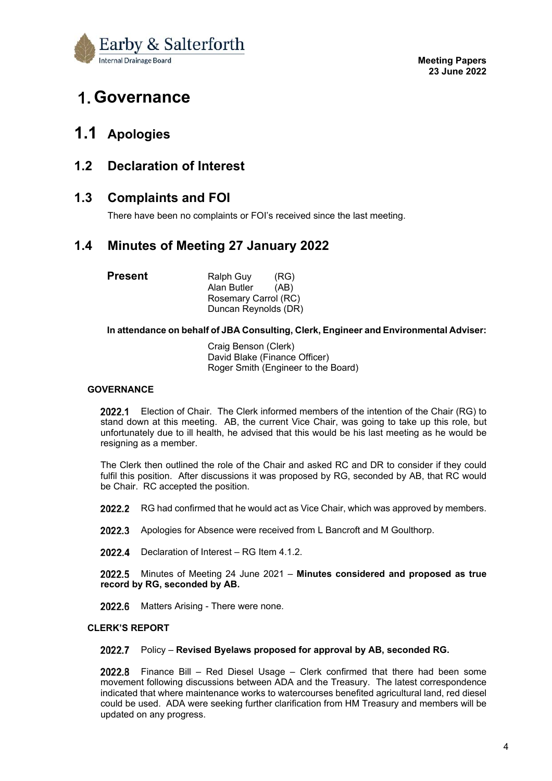

# **Governance**

## **1.1 Apologies**

## **1.2 Declaration of Interest**

## **1.3 Complaints and FOI**

There have been no complaints or FOI's received since the last meeting.

## **1.4 Minutes of Meeting 27 January 2022**

| Present | Ralph Guy            | (RG) |
|---------|----------------------|------|
|         | Alan Butler          | (AB) |
|         | Rosemary Carrol (RC) |      |
|         | Duncan Reynolds (DR) |      |

#### **In attendance on behalf of JBA Consulting, Clerk, Engineer and Environmental Adviser:**

 Craig Benson (Clerk) David Blake (Finance Officer) Roger Smith (Engineer to the Board)

#### **GOVERNANCE**

2022.1 Election of Chair. The Clerk informed members of the intention of the Chair (RG) to stand down at this meeting. AB, the current Vice Chair, was going to take up this role, but unfortunately due to ill health, he advised that this would be his last meeting as he would be resigning as a member.

The Clerk then outlined the role of the Chair and asked RC and DR to consider if they could fulfil this position. After discussions it was proposed by RG, seconded by AB, that RC would be Chair. RC accepted the position.

- 2022.2 RG had confirmed that he would act as Vice Chair, which was approved by members.
- 2022.3 Apologies for Absence were received from L Bancroft and M Goulthorp.
- 2022.4 Declaration of Interest RG Item 4.1.2.

Minutes of Meeting 24 June 2021 – **Minutes considered and proposed as true record by RG, seconded by AB.**

2022.6 Matters Arising - There were none.

#### **CLERK'S REPORT**

#### Policy – **Revised Byelaws proposed for approval by AB, seconded RG.**

2022.8 Finance Bill – Red Diesel Usage – Clerk confirmed that there had been some movement following discussions between ADA and the Treasury. The latest correspondence indicated that where maintenance works to watercourses benefited agricultural land, red diesel could be used. ADA were seeking further clarification from HM Treasury and members will be updated on any progress.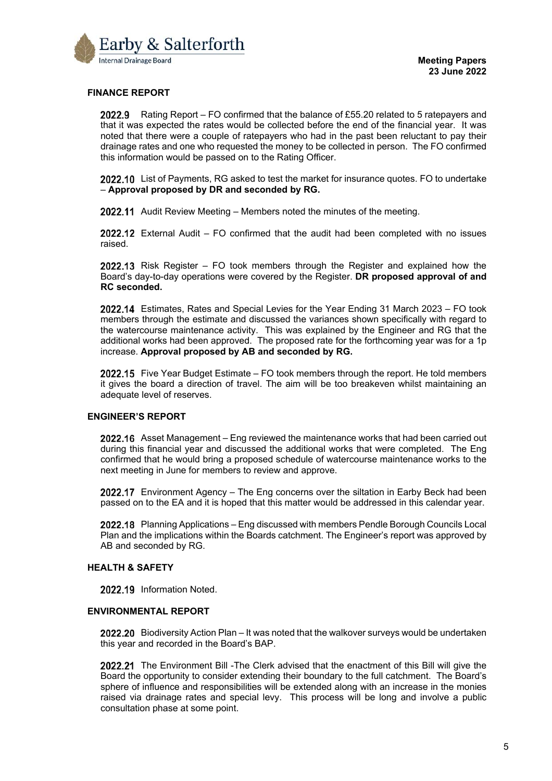

#### **FINANCE REPORT**

**2022.9** Rating Report – FO confirmed that the balance of £55.20 related to 5 ratepayers and that it was expected the rates would be collected before the end of the financial year. It was noted that there were a couple of ratepayers who had in the past been reluctant to pay their drainage rates and one who requested the money to be collected in person. The FO confirmed this information would be passed on to the Rating Officer.

2022.10 List of Payments, RG asked to test the market for insurance quotes. FO to undertake – **Approval proposed by DR and seconded by RG.**

2022.11 Audit Review Meeting – Members noted the minutes of the meeting.

**2022.12** External Audit – FO confirmed that the audit had been completed with no issues raised.

**2022.13** Risk Register – FO took members through the Register and explained how the Board's day-to-day operations were covered by the Register. **DR proposed approval of and RC seconded.**

Estimates, Rates and Special Levies for the Year Ending 31 March 2023 – FO took members through the estimate and discussed the variances shown specifically with regard to the watercourse maintenance activity. This was explained by the Engineer and RG that the additional works had been approved. The proposed rate for the forthcoming year was for a 1p increase. **Approval proposed by AB and seconded by RG.**

2022.15 Five Year Budget Estimate – FO took members through the report. He told members it gives the board a direction of travel. The aim will be too breakeven whilst maintaining an adequate level of reserves.

#### **ENGINEER'S REPORT**

2022.16 Asset Management – Eng reviewed the maintenance works that had been carried out during this financial year and discussed the additional works that were completed. The Eng confirmed that he would bring a proposed schedule of watercourse maintenance works to the next meeting in June for members to review and approve.

2022.17 Environment Agency – The Eng concerns over the siltation in Earby Beck had been passed on to the EA and it is hoped that this matter would be addressed in this calendar year.

2022.18 Planning Applications – Eng discussed with members Pendle Borough Councils Local Plan and the implications within the Boards catchment. The Engineer's report was approved by AB and seconded by RG.

#### **HEALTH & SAFETY**

2022.19 Information Noted.

#### **ENVIRONMENTAL REPORT**

2022.20 Biodiversity Action Plan – It was noted that the walkover surveys would be undertaken this year and recorded in the Board's BAP.

**2022.21** The Environment Bill -The Clerk advised that the enactment of this Bill will give the Board the opportunity to consider extending their boundary to the full catchment. The Board's sphere of influence and responsibilities will be extended along with an increase in the monies raised via drainage rates and special levy. This process will be long and involve a public consultation phase at some point.